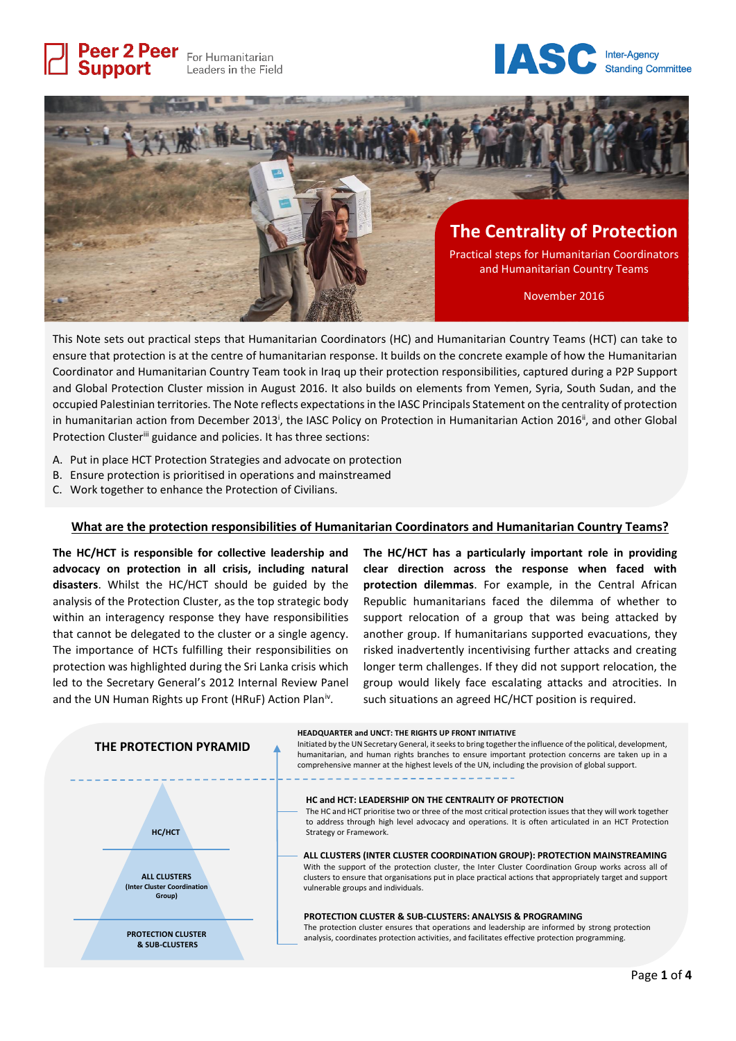Peer 2 Peer For Humanitarian **Support** Leaders in the Field





This Note sets out practical steps that Humanitarian Coordinators (HC) and Humanitarian Country Teams (HCT) can take to ensure that protection is at the centre of humanitarian response. It builds on the concrete example of how the Humanitarian Coordinator and Humanitarian Country Team took in Iraq up their protection responsibilities, captured during a P2P Support and Global Protection Cluster mission in August 2016. It also builds on elements from Yemen, Syria, South Sudan, and the occupied Palestinian territories. The Note reflects expectations in the IASC Principals Statement on the centrality of protection in humanitarian action from December 2013<sup>i</sup>, the IASC Policy on Protection in Humanitarian Action 2016<sup>ii</sup>, and other Global Protection Cluster<sup>iii</sup> guidance and policies. It has three sections:

- A. Put in place HCT Protection Strategies and advocate on protection
- B. Ensure protection is prioritised in operations and mainstreamed
- C. Work together to enhance the Protection of Civilians.

## **What are the protection responsibilities of Humanitarian Coordinators and Humanitarian Country Teams?**

**The HC/HCT is responsible for collective leadership and advocacy on protection in all crisis, including natural disasters**. Whilst the HC/HCT should be guided by the analysis of the Protection Cluster, as the top strategic body within an interagency response they have responsibilities that cannot be delegated to the cluster or a single agency. The importance of HCTs fulfilling their responsibilities on protection was highlighted during the Sri Lanka crisis which led to the Secretary General's 2012 Internal Review Panel and the UN Human Rights up Front (HRuF) Action Plan<sup>iv</sup>.

**The HC/HCT has a particularly important role in providing clear direction across the response when faced with protection dilemmas**. For example, in the Central African Republic humanitarians faced the dilemma of whether to support relocation of a group that was being attacked by another group. If humanitarians supported evacuations, they risked inadvertently incentivising further attacks and creating longer term challenges. If they did not support relocation, the group would likely face escalating attacks and atrocities. In such situations an agreed HC/HCT position is required.

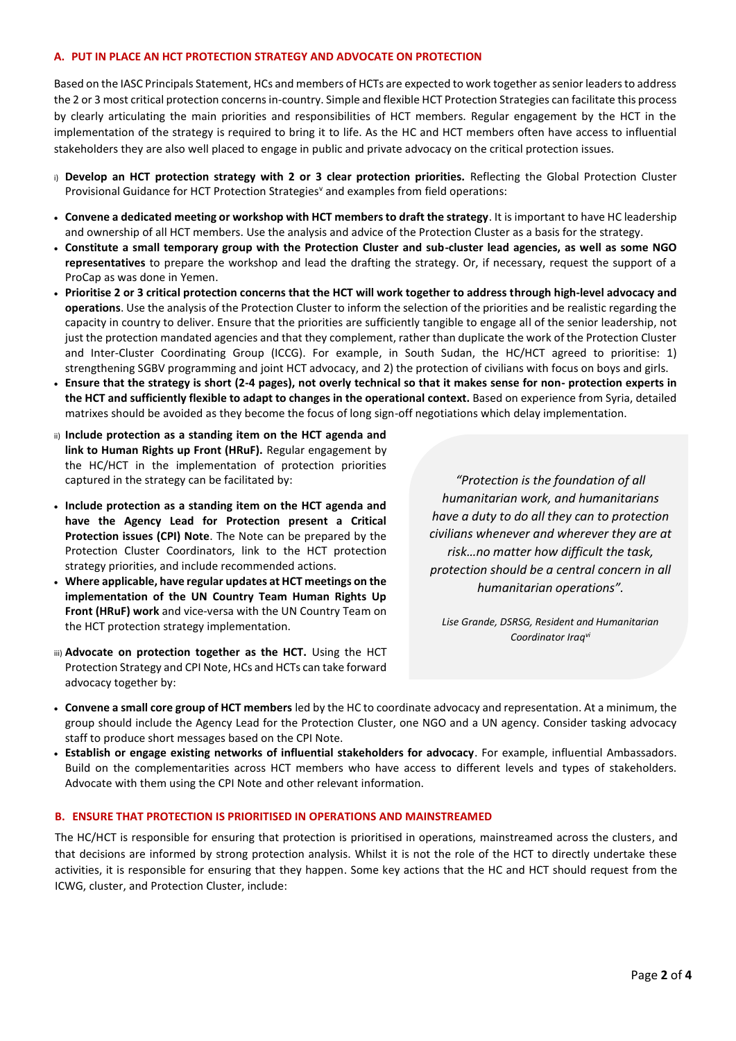## **A. PUT IN PLACE AN HCT PROTECTION STRATEGY AND ADVOCATE ON PROTECTION**

Based on the IASC Principals Statement, HCs and members of HCTs are expected to work together as senior leaders to address the 2 or 3 most critical protection concerns in-country. Simple and flexible HCT Protection Strategies can facilitate this process by clearly articulating the main priorities and responsibilities of HCT members. Regular engagement by the HCT in the implementation of the strategy is required to bring it to life. As the HC and HCT members often have access to influential stakeholders they are also well placed to engage in public and private advocacy on the critical protection issues.

- i) **Develop an HCT protection strategy with 2 or 3 clear protection priorities.** Reflecting the Global Protection Cluster Provisional Guidance for HCT Protection Strategies<sup>v</sup> and examples from field operations:
- **Convene a dedicated meeting or workshop with HCT members to draft the strategy**. It is important to have HC leadership and ownership of all HCT members. Use the analysis and advice of the Protection Cluster as a basis for the strategy.
- **Constitute a small temporary group with the Protection Cluster and sub-cluster lead agencies, as well as some NGO representatives** to prepare the workshop and lead the drafting the strategy. Or, if necessary, request the support of a ProCap as was done in Yemen.
- **Prioritise 2 or 3 critical protection concerns that the HCT will work together to address through high-level advocacy and operations**. Use the analysis of the Protection Cluster to inform the selection of the priorities and be realistic regarding the capacity in country to deliver. Ensure that the priorities are sufficiently tangible to engage all of the senior leadership, not just the protection mandated agencies and that they complement, rather than duplicate the work of the Protection Cluster and Inter-Cluster Coordinating Group (ICCG). For example, in South Sudan, the HC/HCT agreed to prioritise: 1) strengthening SGBV programming and joint HCT advocacy, and 2) the protection of civilians with focus on boys and girls.
- **Ensure that the strategy is short (2-4 pages), not overly technical so that it makes sense for non- protection experts in the HCT and sufficiently flexible to adapt to changes in the operational context.** Based on experience from Syria, detailed matrixes should be avoided as they become the focus of long sign-off negotiations which delay implementation.
- ii) **Include protection as a standing item on the HCT agenda and link to Human Rights up Front (HRuF).** Regular engagement by the HC/HCT in the implementation of protection priorities captured in the strategy can be facilitated by:
- **Include protection as a standing item on the HCT agenda and have the Agency Lead for Protection present a Critical Protection issues (CPI) Note**. The Note can be prepared by the Protection Cluster Coordinators, link to the HCT protection strategy priorities, and include recommended actions.
- **Where applicable, have regular updates at HCT meetings on the implementation of the UN Country Team Human Rights Up Front (HRuF) work** and vice-versa with the UN Country Team on the HCT protection strategy implementation.
- iii) **Advocate on protection together as the HCT.** Using the HCT Protection Strategy and CPI Note, HCs and HCTs can take forward advocacy together by:

*"Protection is the foundation of all humanitarian work, and humanitarians have a duty to do all they can to protection civilians whenever and wherever they are at risk…no matter how difficult the task, protection should be a central concern in all humanitarian operations".*

*Lise Grande, DSRSG, Resident and Humanitarian Coordinator Iraqvi*

- **Convene a small core group of HCT members** led by the HC to coordinate advocacy and representation. At a minimum, the group should include the Agency Lead for the Protection Cluster, one NGO and a UN agency. Consider tasking advocacy staff to produce short messages based on the CPI Note.
- **Establish or engage existing networks of influential stakeholders for advocacy**. For example, influential Ambassadors. Build on the complementarities across HCT members who have access to different levels and types of stakeholders. Advocate with them using the CPI Note and other relevant information.

### **B. ENSURE THAT PROTECTION IS PRIORITISED IN OPERATIONS AND MAINSTREAMED**

The HC/HCT is responsible for ensuring that protection is prioritised in operations, mainstreamed across the clusters, and that decisions are informed by strong protection analysis. Whilst it is not the role of the HCT to directly undertake these activities, it is responsible for ensuring that they happen. Some key actions that the HC and HCT should request from the ICWG, cluster, and Protection Cluster, include: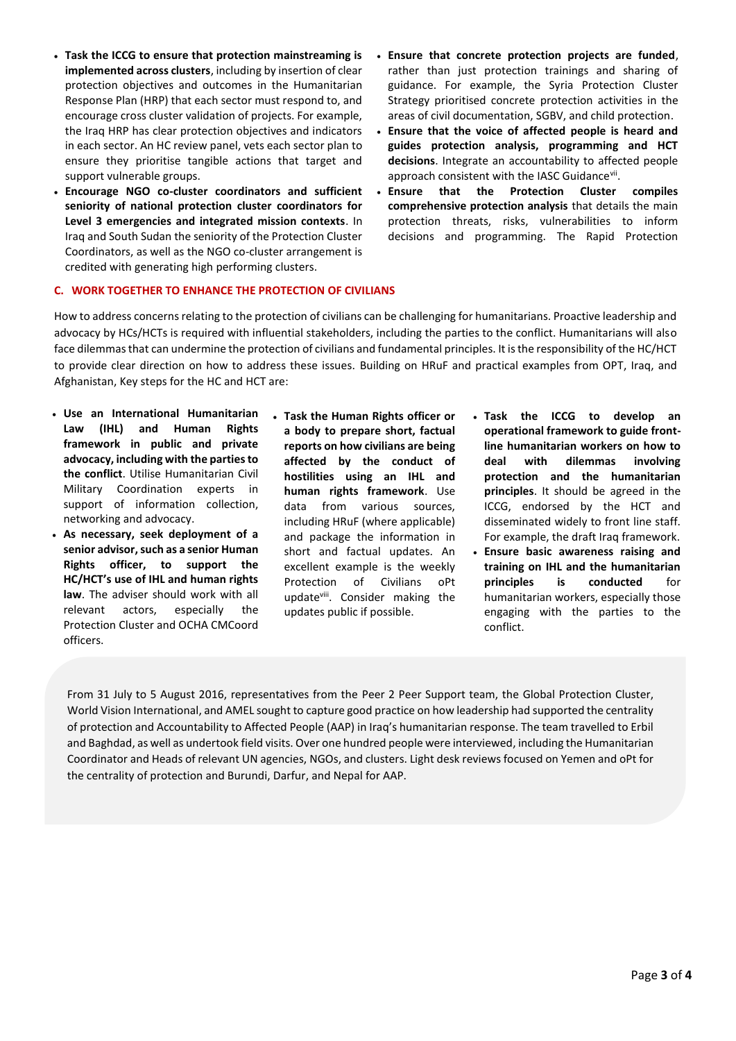- **Task the ICCG to ensure that protection mainstreaming is implemented across clusters**, including by insertion of clear protection objectives and outcomes in the Humanitarian Response Plan (HRP) that each sector must respond to, and encourage cross cluster validation of projects. For example, the Iraq HRP has clear protection objectives and indicators in each sector. An HC review panel, vets each sector plan to ensure they prioritise tangible actions that target and support vulnerable groups.
- **Encourage NGO co-cluster coordinators and sufficient seniority of national protection cluster coordinators for Level 3 emergencies and integrated mission contexts**. In Iraq and South Sudan the seniority of the Protection Cluster Coordinators, as well as the NGO co-cluster arrangement is credited with generating high performing clusters.
- **Ensure that concrete protection projects are funded**, rather than just protection trainings and sharing of guidance. For example, the Syria Protection Cluster Strategy prioritised concrete protection activities in the areas of civil documentation, SGBV, and child protection.
- **Ensure that the voice of affected people is heard and guides protection analysis, programming and HCT decisions**. Integrate an accountability to affected people approach consistent with the IASC Guidancevii.
- **Ensure that the Protection Cluster compiles comprehensive protection analysis** that details the main protection threats, risks, vulnerabilities to inform decisions and programming. The Rapid Protection

# **C. WORK TOGETHER TO ENHANCE THE PROTECTION OF CIVILIANS**

How to address concerns relating to the protection of civilians can be challenging for humanitarians. Proactive leadership and advocacy by HCs/HCTs is required with influential stakeholders, including the parties to the conflict. Humanitarians will also face dilemmas that can undermine the protection of civilians and fundamental principles. It is the responsibility of the HC/HCT to provide clear direction on how to address these issues. Building on HRuF and practical examples from OPT, Iraq, and Afghanistan, Key steps for the HC and HCT are:

- **Use an International Humanitarian Law (IHL) and Human Rights framework in public and private advocacy, including with the parties to the conflict**. Utilise Humanitarian Civil Military Coordination experts in support of information collection, networking and advocacy.
- **As necessary, seek deployment of a senior advisor, such as a senior Human Rights officer, to support the HC/HCT's use of IHL and human rights law**. The adviser should work with all relevant actors, especially the Protection Cluster and OCHA CMCoord officers.
- **Task the Human Rights officer or a body to prepare short, factual reports on how civilians are being affected by the conduct of hostilities using an IHL and human rights framework**. Use data from various sources, including HRuF (where applicable) and package the information in short and factual updates. An excellent example is the weekly Protection of Civilians oPt updateviii. Consider making the updates public if possible.
- **Task the ICCG to develop an operational framework to guide frontline humanitarian workers on how to deal with dilemmas involving protection and the humanitarian principles**. It should be agreed in the ICCG, endorsed by the HCT and disseminated widely to front line staff. For example, the draft Iraq framework.
- **Ensure basic awareness raising and training on IHL and the humanitarian principles is conducted** for humanitarian workers, especially those engaging with the parties to the conflict.

From 31 July to 5 August 2016, representatives from the Peer 2 Peer Support team, the Global Protection Cluster, World Vision International, and AMEL sought to capture good practice on how leadership had supported the centrality of protection and Accountability to Affected People (AAP) in Iraq's humanitarian response. The team travelled to Erbil and Baghdad, as well as undertook field visits. Over one hundred people were interviewed, including the Humanitarian Coordinator and Heads of relevant UN agencies, NGOs, and clusters. Light desk reviews focused on Yemen and oPt for the centrality of protection and Burundi, Darfur, and Nepal for AAP.